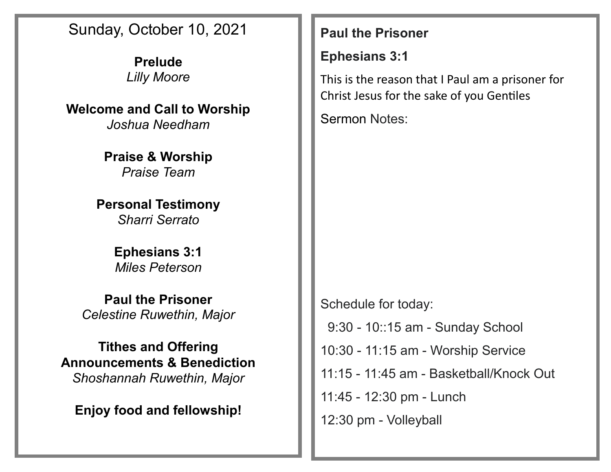## Sunday, October 10, 2021

**Prelude** *Lilly Moore*

**Welcome and Call to Worship**

*Joshua Needham*

**Praise & Worship** *Praise Team*

**Personal Testimony** *Sharri Serrato*

> **Ephesians 3:1** *Miles Peterson*

**Paul the Prisoner** *Celestine Ruwethin, Major*

**Tithes and Offering Announcements & Benediction** *Shoshannah Ruwethin, Major*

**Enjoy food and fellowship!**

### **Paul the Prisoner**

## **Ephesians 3:1**

This is the reason that I Paul am a prisoner for Christ Jesus for the sake of you Gentiles

Sermon Notes:

Schedule for today: 9:30 - 10::15 am - Sunday School 10:30 - 11:15 am - Worship Service 11:15 - 11:45 am - Basketball/Knock Out 11:45 - 12:30 pm - Lunch 12:30 pm - Volleyball